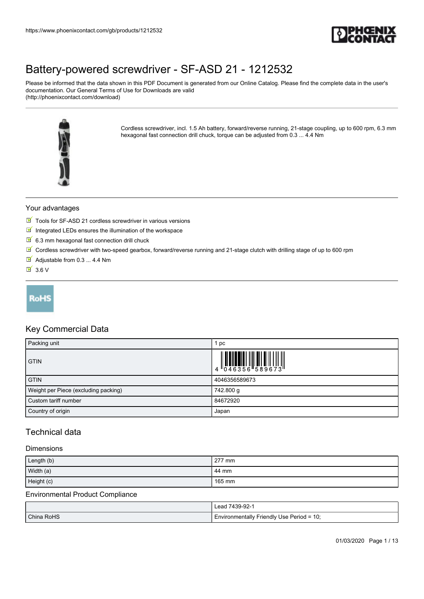

Please be informed that the data shown in this PDF Document is generated from our Online Catalog. Please find the complete data in the user's documentation. Our General Terms of Use for Downloads are valid (http://phoenixcontact.com/download)



Cordless screwdriver, incl. 1.5 Ah battery, forward/reverse running, 21-stage coupling, up to 600 rpm, 6.3 mm hexagonal fast connection drill chuck, torque can be adjusted from 0.3 ... 4.4 Nm

### Your advantages

- Tools for SF-ASD 21 cordless screwdriver in various versions
- $\blacksquare$  Integrated LEDs ensures the illumination of the workspace
- $6.3$  mm hexagonal fast connection drill chuck
- $\boxed{\mathbb{M}}$  Cordless screwdriver with two-speed gearbox, forward/reverse running and 21-stage clutch with drilling stage of up to 600 rpm
- Adjustable from 0.3 ... 4.4 Nm
- $\overline{M}$  3.6 V



### Key Commercial Data

| Packing unit                         | pc            |
|--------------------------------------|---------------|
| <b>GTIN</b>                          |               |
| <b>GTIN</b>                          | 4046356589673 |
| Weight per Piece (excluding packing) | 742.800 g     |
| Custom tariff number                 | 84672920      |
| Country of origin                    | Japan         |

#### Technical data

#### Dimensions

| Length (b) | 277 mm |
|------------|--------|
| Width (a)  | 44 mm  |
| Height (c) | 165 mm |

#### Environmental Product Compliance

|            | Lead 7439-92-1                            |
|------------|-------------------------------------------|
| China RoHS | Environmentally Friendly Use Period = 10; |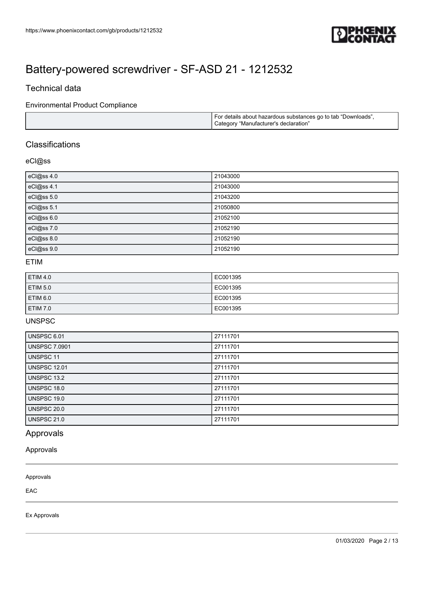

### Technical data

#### Environmental Product Compliance

|  | I For details about hazardous substances go to tab "Downloads",<br>Category "Manufacturer's declaration" |
|--|----------------------------------------------------------------------------------------------------------|
|--|----------------------------------------------------------------------------------------------------------|

### **Classifications**

#### eCl@ss

| eCl@ss 4.0 | 21043000 |
|------------|----------|
| eCl@ss 4.1 | 21043000 |
| eCl@ss 5.0 | 21043200 |
| eCl@ss 5.1 | 21050800 |
| eCl@ss 6.0 | 21052100 |
| eCl@ss 7.0 | 21052190 |
| eCl@ss 8.0 | 21052190 |
| eCl@ss 9.0 | 21052190 |

#### ETIM

| <b>ETIM 4.0</b>     | EC001395 |
|---------------------|----------|
| <b>ETIM 5.0</b>     | EC001395 |
| ETIM <sub>6.0</sub> | EC001395 |
| <b>ETIM 7.0</b>     | EC001395 |

#### UNSPSC

| <b>UNSPSC 6.01</b>   | 27111701 |
|----------------------|----------|
| <b>UNSPSC 7.0901</b> | 27111701 |
| UNSPSC 11            | 27111701 |
| <b>UNSPSC 12.01</b>  | 27111701 |
| UNSPSC 13.2          | 27111701 |
| UNSPSC 18.0          | 27111701 |
| UNSPSC 19.0          | 27111701 |
| <b>UNSPSC 20.0</b>   | 27111701 |
| <b>UNSPSC 21.0</b>   | 27111701 |

### Approvals

#### Approvals

Approvals

EAC

Ex Approvals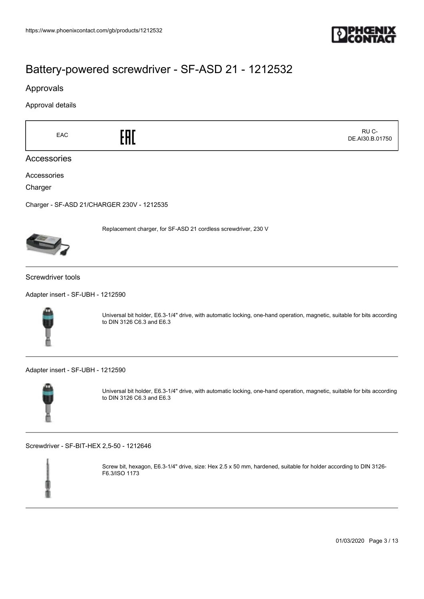

#### Approvals

Approval details

| EAC                                        |                                                                                                                                                       | RU C-<br>DE.AI30.B.01750 |
|--------------------------------------------|-------------------------------------------------------------------------------------------------------------------------------------------------------|--------------------------|
| Accessories                                |                                                                                                                                                       |                          |
| Accessories                                |                                                                                                                                                       |                          |
| Charger                                    |                                                                                                                                                       |                          |
| Charger - SF-ASD 21/CHARGER 230V - 1212535 |                                                                                                                                                       |                          |
|                                            | Replacement charger, for SF-ASD 21 cordless screwdriver, 230 V                                                                                        |                          |
| Screwdriver tools                          |                                                                                                                                                       |                          |
| Adapter insert - SF-UBH - 1212590          |                                                                                                                                                       |                          |
|                                            | Universal bit holder, E6.3-1/4" drive, with automatic locking, one-hand operation, magnetic, suitable for bits according<br>to DIN 3126 C6.3 and E6.3 |                          |
| Adapter insert - SF-UBH - 1212590          |                                                                                                                                                       |                          |
|                                            | Universal bit holder, E6.3-1/4" drive, with automatic locking, one-hand operation, magnetic, suitable for bits according<br>to DIN 3126 C6.3 and E6.3 |                          |

[Screwdriver - SF-BIT-HEX 2,5-50 - 1212646](https://www.phoenixcontact.com/gb/products/1212646)



Screw bit, hexagon, E6.3-1/4" drive, size: Hex 2.5 x 50 mm, hardened, suitable for holder according to DIN 3126- F6.3/ISO 1173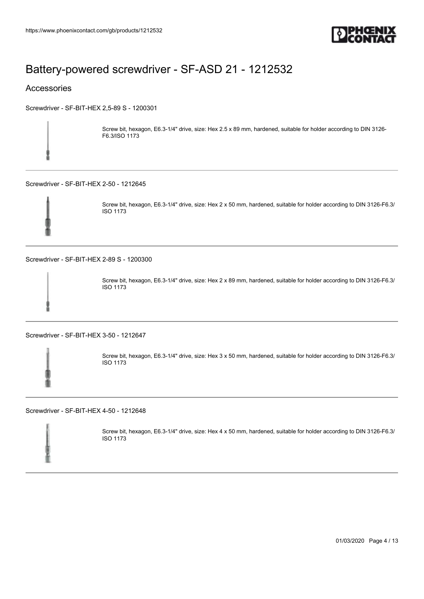

#### Accessories

[Screwdriver - SF-BIT-HEX 2,5-89 S - 1200301](https://www.phoenixcontact.com/gb/products/1200301)

Screw bit, hexagon, E6.3-1/4" drive, size: Hex 2.5 x 89 mm, hardened, suitable for holder according to DIN 3126- F6.3/ISO 1173

[Screwdriver - SF-BIT-HEX 2-50 - 1212645](https://www.phoenixcontact.com/gb/products/1212645)



Screw bit, hexagon, E6.3-1/4" drive, size: Hex 2 x 50 mm, hardened, suitable for holder according to DIN 3126-F6.3/ ISO 1173

[Screwdriver - SF-BIT-HEX 2-89 S - 1200300](https://www.phoenixcontact.com/gb/products/1200300)



Screw bit, hexagon, E6.3-1/4" drive, size: Hex 2 x 89 mm, hardened, suitable for holder according to DIN 3126-F6.3/ ISO 1173

[Screwdriver - SF-BIT-HEX 3-50 - 1212647](https://www.phoenixcontact.com/gb/products/1212647)



Screw bit, hexagon, E6.3-1/4" drive, size: Hex 3 x 50 mm, hardened, suitable for holder according to DIN 3126-F6.3/ ISO 1173

[Screwdriver - SF-BIT-HEX 4-50 - 1212648](https://www.phoenixcontact.com/gb/products/1212648)

Screw bit, hexagon, E6.3-1/4" drive, size: Hex 4 x 50 mm, hardened, suitable for holder according to DIN 3126-F6.3/ ISO 1173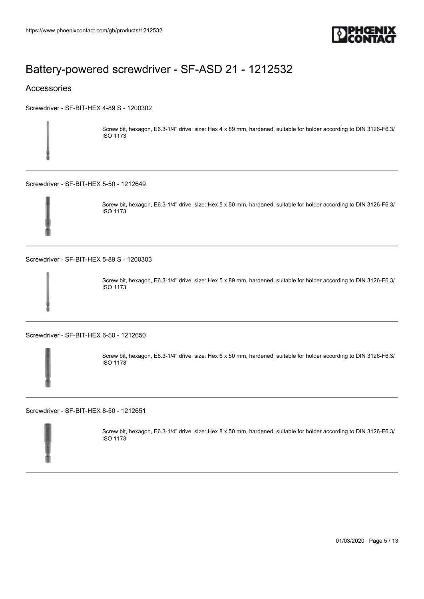

#### Accessories

[Screwdriver - SF-BIT-HEX 4-89 S - 1200302](https://www.phoenixcontact.com/gb/products/1200302)

Screw bit, hexagon, E6.3-1/4" drive, size: Hex 4 x 89 mm, hardened, suitable for holder according to DIN 3126-F6.3/ ISO 1173

[Screwdriver - SF-BIT-HEX 5-50 - 1212649](https://www.phoenixcontact.com/gb/products/1212649)



Screw bit, hexagon, E6.3-1/4" drive, size: Hex 5 x 50 mm, hardened, suitable for holder according to DIN 3126-F6.3/ ISO 1173

[Screwdriver - SF-BIT-HEX 5-89 S - 1200303](https://www.phoenixcontact.com/gb/products/1200303)



Screw bit, hexagon, E6.3-1/4" drive, size: Hex 5 x 89 mm, hardened, suitable for holder according to DIN 3126-F6.3/ ISO 1173

[Screwdriver - SF-BIT-HEX 6-50 - 1212650](https://www.phoenixcontact.com/gb/products/1212650)



Screw bit, hexagon, E6.3-1/4" drive, size: Hex 6 x 50 mm, hardened, suitable for holder according to DIN 3126-F6.3/ ISO 1173

[Screwdriver - SF-BIT-HEX 8-50 - 1212651](https://www.phoenixcontact.com/gb/products/1212651)



Screw bit, hexagon, E6.3-1/4" drive, size: Hex 8 x 50 mm, hardened, suitable for holder according to DIN 3126-F6.3/ ISO 1173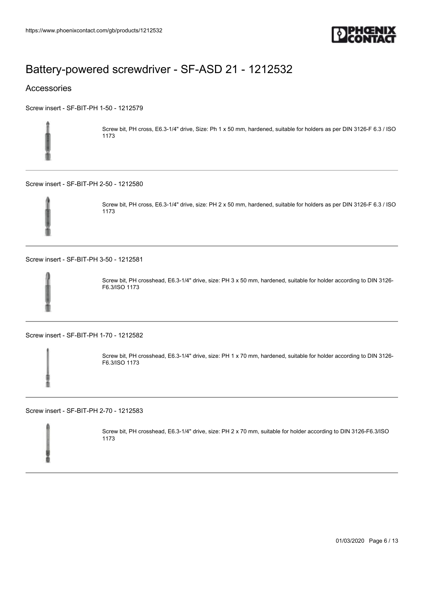

#### Accessories

[Screw insert - SF-BIT-PH 1-50 - 1212579](https://www.phoenixcontact.com/gb/products/1212579)



Screw bit, PH cross, E6.3-1/4" drive, Size: Ph 1 x 50 mm, hardened, suitable for holders as per DIN 3126-F 6.3 / ISO 1173

[Screw insert - SF-BIT-PH 2-50 - 1212580](https://www.phoenixcontact.com/gb/products/1212580)



Screw bit, PH cross, E6.3-1/4" drive, size: PH 2 x 50 mm, hardened, suitable for holders as per DIN 3126-F 6.3 / ISO 1173

[Screw insert - SF-BIT-PH 3-50 - 1212581](https://www.phoenixcontact.com/gb/products/1212581)



Screw bit, PH crosshead, E6.3-1/4" drive, size: PH 3 x 50 mm, hardened, suitable for holder according to DIN 3126- F6.3/ISO 1173

[Screw insert - SF-BIT-PH 1-70 - 1212582](https://www.phoenixcontact.com/gb/products/1212582)

Screw bit, PH crosshead, E6.3-1/4" drive, size: PH 1 x 70 mm, hardened, suitable for holder according to DIN 3126- F6.3/ISO 1173

[Screw insert - SF-BIT-PH 2-70 - 1212583](https://www.phoenixcontact.com/gb/products/1212583)

Screw bit, PH crosshead, E6.3-1/4" drive, size: PH 2 x 70 mm, suitable for holder according to DIN 3126-F6.3/ISO 1173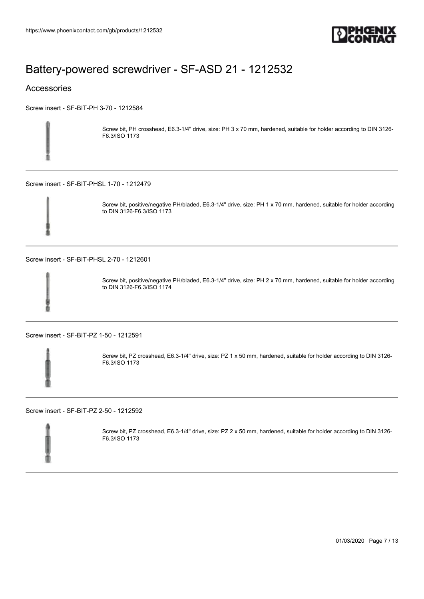

#### Accessories

[Screw insert - SF-BIT-PH 3-70 - 1212584](https://www.phoenixcontact.com/gb/products/1212584)



Screw bit, PH crosshead, E6.3-1/4" drive, size: PH 3 x 70 mm, hardened, suitable for holder according to DIN 3126- F6.3/ISO 1173

[Screw insert - SF-BIT-PHSL 1-70 - 1212479](https://www.phoenixcontact.com/gb/products/1212479)



Screw bit, positive/negative PH/bladed, E6.3-1/4" drive, size: PH 1 x 70 mm, hardened, suitable for holder according to DIN 3126-F6.3/ISO 1173

[Screw insert - SF-BIT-PHSL 2-70 - 1212601](https://www.phoenixcontact.com/gb/products/1212601)



Screw bit, positive/negative PH/bladed, E6.3-1/4" drive, size: PH 2 x 70 mm, hardened, suitable for holder according to DIN 3126-F6.3/ISO 1174

[Screw insert - SF-BIT-PZ 1-50 - 1212591](https://www.phoenixcontact.com/gb/products/1212591)



Screw bit, PZ crosshead, E6.3-1/4" drive, size: PZ 1 x 50 mm, hardened, suitable for holder according to DIN 3126- F6.3/ISO 1173

[Screw insert - SF-BIT-PZ 2-50 - 1212592](https://www.phoenixcontact.com/gb/products/1212592)



Screw bit, PZ crosshead, E6.3-1/4" drive, size: PZ 2 x 50 mm, hardened, suitable for holder according to DIN 3126- F6.3/ISO 1173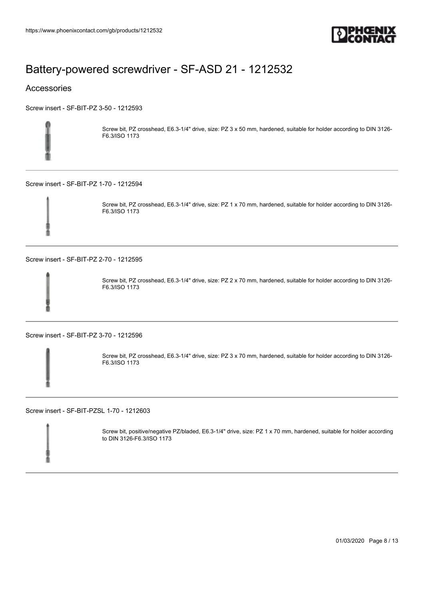

#### Accessories

[Screw insert - SF-BIT-PZ 3-50 - 1212593](https://www.phoenixcontact.com/gb/products/1212593)



Screw bit, PZ crosshead, E6.3-1/4" drive, size: PZ 3 x 50 mm, hardened, suitable for holder according to DIN 3126- F6.3/ISO 1173

[Screw insert - SF-BIT-PZ 1-70 - 1212594](https://www.phoenixcontact.com/gb/products/1212594)



Screw bit, PZ crosshead, E6.3-1/4" drive, size: PZ 1 x 70 mm, hardened, suitable for holder according to DIN 3126- F6.3/ISO 1173

[Screw insert - SF-BIT-PZ 2-70 - 1212595](https://www.phoenixcontact.com/gb/products/1212595)



Screw bit, PZ crosshead, E6.3-1/4" drive, size: PZ 2 x 70 mm, hardened, suitable for holder according to DIN 3126- F6.3/ISO 1173

[Screw insert - SF-BIT-PZ 3-70 - 1212596](https://www.phoenixcontact.com/gb/products/1212596)

Screw bit, PZ crosshead, E6.3-1/4" drive, size: PZ 3 x 70 mm, hardened, suitable for holder according to DIN 3126- F6.3/ISO 1173

[Screw insert - SF-BIT-PZSL 1-70 - 1212603](https://www.phoenixcontact.com/gb/products/1212603)

Screw bit, positive/negative PZ/bladed, E6.3-1/4" drive, size: PZ 1 x 70 mm, hardened, suitable for holder according to DIN 3126-F6.3/ISO 1173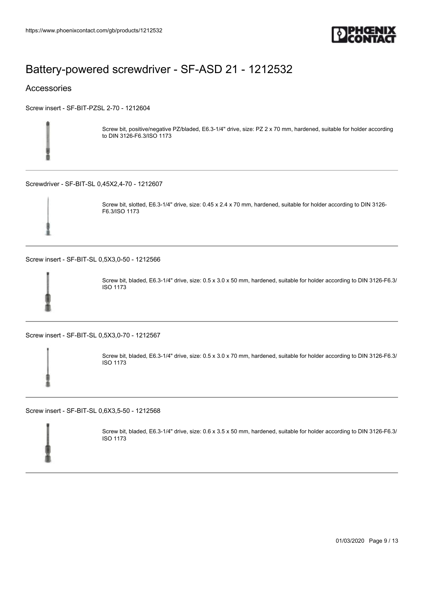

#### Accessories

[Screw insert - SF-BIT-PZSL 2-70 - 1212604](https://www.phoenixcontact.com/gb/products/1212604)



Screw bit, positive/negative PZ/bladed, E6.3-1/4" drive, size: PZ 2 x 70 mm, hardened, suitable for holder according to DIN 3126-F6.3/ISO 1173

[Screwdriver - SF-BIT-SL 0,45X2,4-70 - 1212607](https://www.phoenixcontact.com/gb/products/1212607)



Screw bit, slotted, E6.3-1/4" drive, size: 0.45 x 2.4 x 70 mm, hardened, suitable for holder according to DIN 3126- F6.3/ISO 1173

[Screw insert - SF-BIT-SL 0,5X3,0-50 - 1212566](https://www.phoenixcontact.com/gb/products/1212566)



Screw bit, bladed, E6.3-1/4" drive, size: 0.5 x 3.0 x 50 mm, hardened, suitable for holder according to DIN 3126-F6.3/ ISO 1173

[Screw insert - SF-BIT-SL 0,5X3,0-70 - 1212567](https://www.phoenixcontact.com/gb/products/1212567)



Screw bit, bladed, E6.3-1/4" drive, size: 0.5 x 3.0 x 70 mm, hardened, suitable for holder according to DIN 3126-F6.3/ ISO 1173

[Screw insert - SF-BIT-SL 0,6X3,5-50 - 1212568](https://www.phoenixcontact.com/gb/products/1212568)



Screw bit, bladed, E6.3-1/4" drive, size: 0.6 x 3.5 x 50 mm, hardened, suitable for holder according to DIN 3126-F6.3/ ISO 1173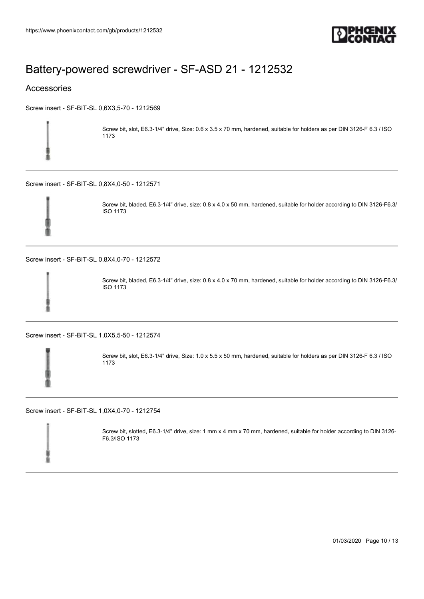

#### Accessories

[Screw insert - SF-BIT-SL 0,6X3,5-70 - 1212569](https://www.phoenixcontact.com/gb/products/1212569)



Screw bit, slot, E6.3-1/4" drive, Size: 0.6 x 3.5 x 70 mm, hardened, suitable for holders as per DIN 3126-F 6.3 / ISO 1173

[Screw insert - SF-BIT-SL 0,8X4,0-50 - 1212571](https://www.phoenixcontact.com/gb/products/1212571)



Screw bit, bladed, E6.3-1/4" drive, size: 0.8 x 4.0 x 50 mm, hardened, suitable for holder according to DIN 3126-F6.3/ ISO 1173

[Screw insert - SF-BIT-SL 0,8X4,0-70 - 1212572](https://www.phoenixcontact.com/gb/products/1212572)



Screw bit, bladed, E6.3-1/4" drive, size: 0.8 x 4.0 x 70 mm, hardened, suitable for holder according to DIN 3126-F6.3/ ISO 1173

[Screw insert - SF-BIT-SL 1,0X5,5-50 - 1212574](https://www.phoenixcontact.com/gb/products/1212574)



Screw bit, slot, E6.3-1/4" drive, Size: 1.0 x 5.5 x 50 mm, hardened, suitable for holders as per DIN 3126-F 6.3 / ISO 1173

[Screw insert - SF-BIT-SL 1,0X4,0-70 - 1212754](https://www.phoenixcontact.com/gb/products/1212754)

Screw bit, slotted, E6.3-1/4" drive, size: 1 mm x 4 mm x 70 mm, hardened, suitable for holder according to DIN 3126- F6.3/ISO 1173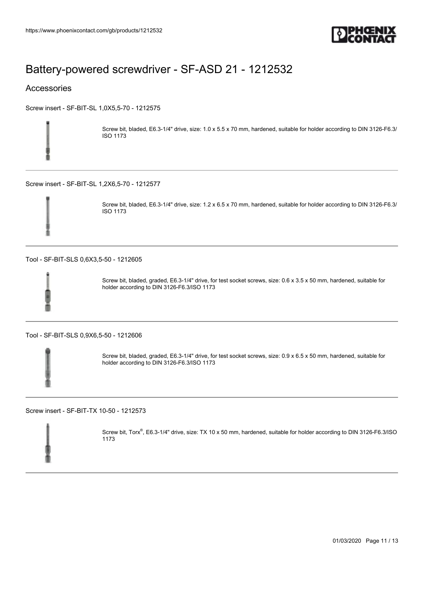

#### Accessories

[Screw insert - SF-BIT-SL 1,0X5,5-70 - 1212575](https://www.phoenixcontact.com/gb/products/1212575)



Screw bit, bladed, E6.3-1/4" drive, size: 1.0 x 5.5 x 70 mm, hardened, suitable for holder according to DIN 3126-F6.3/ ISO 1173

[Screw insert - SF-BIT-SL 1,2X6,5-70 - 1212577](https://www.phoenixcontact.com/gb/products/1212577)



Screw bit, bladed, E6.3-1/4" drive, size: 1.2 x 6.5 x 70 mm, hardened, suitable for holder according to DIN 3126-F6.3/ ISO 1173

[Tool - SF-BIT-SLS 0,6X3,5-50 - 1212605](https://www.phoenixcontact.com/gb/products/1212605)



Screw bit, bladed, graded, E6.3-1/4" drive, for test socket screws, size: 0.6 x 3.5 x 50 mm, hardened, suitable for holder according to DIN 3126-F6.3/ISO 1173

[Tool - SF-BIT-SLS 0,9X6,5-50 - 1212606](https://www.phoenixcontact.com/gb/products/1212606)

Screw bit, bladed, graded, E6.3-1/4" drive, for test socket screws, size: 0.9 x 6.5 x 50 mm, hardened, suitable for holder according to DIN 3126-F6.3/ISO 1173

[Screw insert - SF-BIT-TX 10-50 - 1212573](https://www.phoenixcontact.com/gb/products/1212573)



Screw bit, Torx®, E6.3-1/4" drive, size: TX 10 x 50 mm, hardened, suitable for holder according to DIN 3126-F6.3/ISO 1173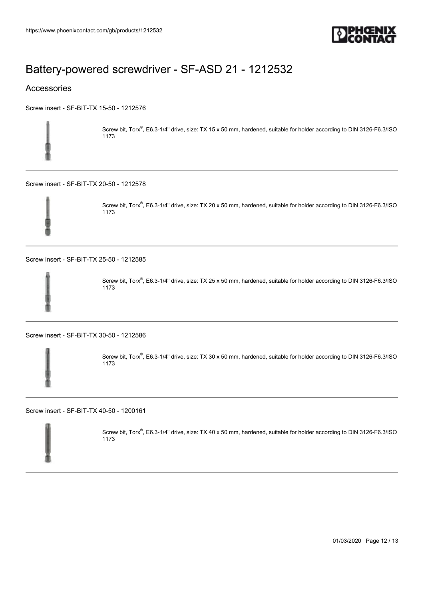

#### Accessories

[Screw insert - SF-BIT-TX 15-50 - 1212576](https://www.phoenixcontact.com/gb/products/1212576)



Screw bit, Torx®, E6.3-1/4" drive, size: TX 15 x 50 mm, hardened, suitable for holder according to DIN 3126-F6.3/ISO 1173

[Screw insert - SF-BIT-TX 20-50 - 1212578](https://www.phoenixcontact.com/gb/products/1212578)



Screw bit, Torx®, E6.3-1/4" drive, size: TX 20 x 50 mm, hardened, suitable for holder according to DIN 3126-F6.3/ISO 1173

[Screw insert - SF-BIT-TX 25-50 - 1212585](https://www.phoenixcontact.com/gb/products/1212585)



Screw bit, Torx®, E6.3-1/4" drive, size: TX 25 x 50 mm, hardened, suitable for holder according to DIN 3126-F6.3/ISO 1173

[Screw insert - SF-BIT-TX 30-50 - 1212586](https://www.phoenixcontact.com/gb/products/1212586)



Screw bit, Torx®, E6.3-1/4" drive, size: TX 30 x 50 mm, hardened, suitable for holder according to DIN 3126-F6.3/ISO 1173

[Screw insert - SF-BIT-TX 40-50 - 1200161](https://www.phoenixcontact.com/gb/products/1200161)



Screw bit, Torx®, E6.3-1/4" drive, size: TX 40 x 50 mm, hardened, suitable for holder according to DIN 3126-F6.3/ISO 1173